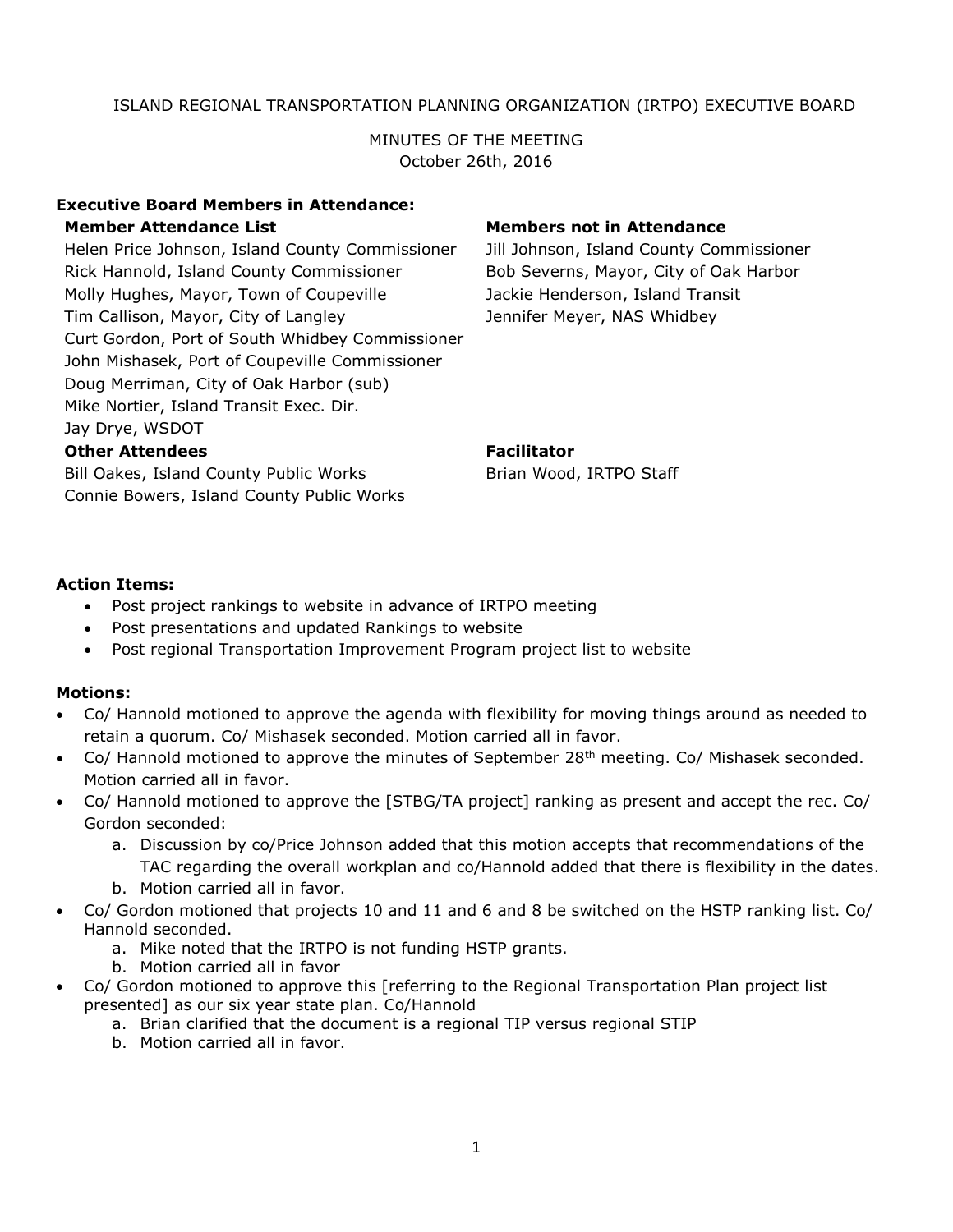## ISLAND REGIONAL TRANSPORTATION PLANNING ORGANIZATION (IRTPO) EXECUTIVE BOARD

MINUTES OF THE MEETING October 26th, 2016

### **Executive Board Members in Attendance: Member Attendance List Members not in Attendance**

Helen Price Johnson, Island County Commissioner Jill Johnson, Island County Commissioner Rick Hannold, Island County Commissioner Bob Severns, Mayor, City of Oak Harbor Molly Hughes, Mayor, Town of Coupeville Jackie Henderson, Island Transit Tim Callison, Mayor, City of Langley Jennifer Meyer, NAS Whidbey Curt Gordon, Port of South Whidbey Commissioner John Mishasek, Port of Coupeville Commissioner Doug Merriman, City of Oak Harbor (sub) Mike Nortier, Island Transit Exec. Dir. Jay Drye, WSDOT

## **Other Attendees Facilitator**

Bill Oakes, Island County Public Works Brian Wood, IRTPO Staff Connie Bowers, Island County Public Works

## **Action Items:**

- Post project rankings to website in advance of IRTPO meeting
- Post presentations and updated Rankings to website
- Post regional Transportation Improvement Program project list to website

### **Motions:**

- Co/ Hannold motioned to approve the agenda with flexibility for moving things around as needed to retain a quorum. Co/ Mishasek seconded. Motion carried all in favor.
- Co/ Hannold motioned to approve the minutes of September  $28<sup>th</sup>$  meeting. Co/ Mishasek seconded. Motion carried all in favor.
- Co/ Hannold motioned to approve the [STBG/TA project] ranking as present and accept the rec. Co/ Gordon seconded:
	- a. Discussion by co/Price Johnson added that this motion accepts that recommendations of the
	- TAC regarding the overall workplan and co/Hannold added that there is flexibility in the dates.
	- b. Motion carried all in favor.
- Co/ Gordon motioned that projects 10 and 11 and 6 and 8 be switched on the HSTP ranking list. Co/ Hannold seconded.
	- a. Mike noted that the IRTPO is not funding HSTP grants.
	- b. Motion carried all in favor
- Co/ Gordon motioned to approve this [referring to the Regional Transportation Plan project list presented] as our six year state plan. Co/Hannold
	- a. Brian clarified that the document is a regional TIP versus regional STIP
	- b. Motion carried all in favor.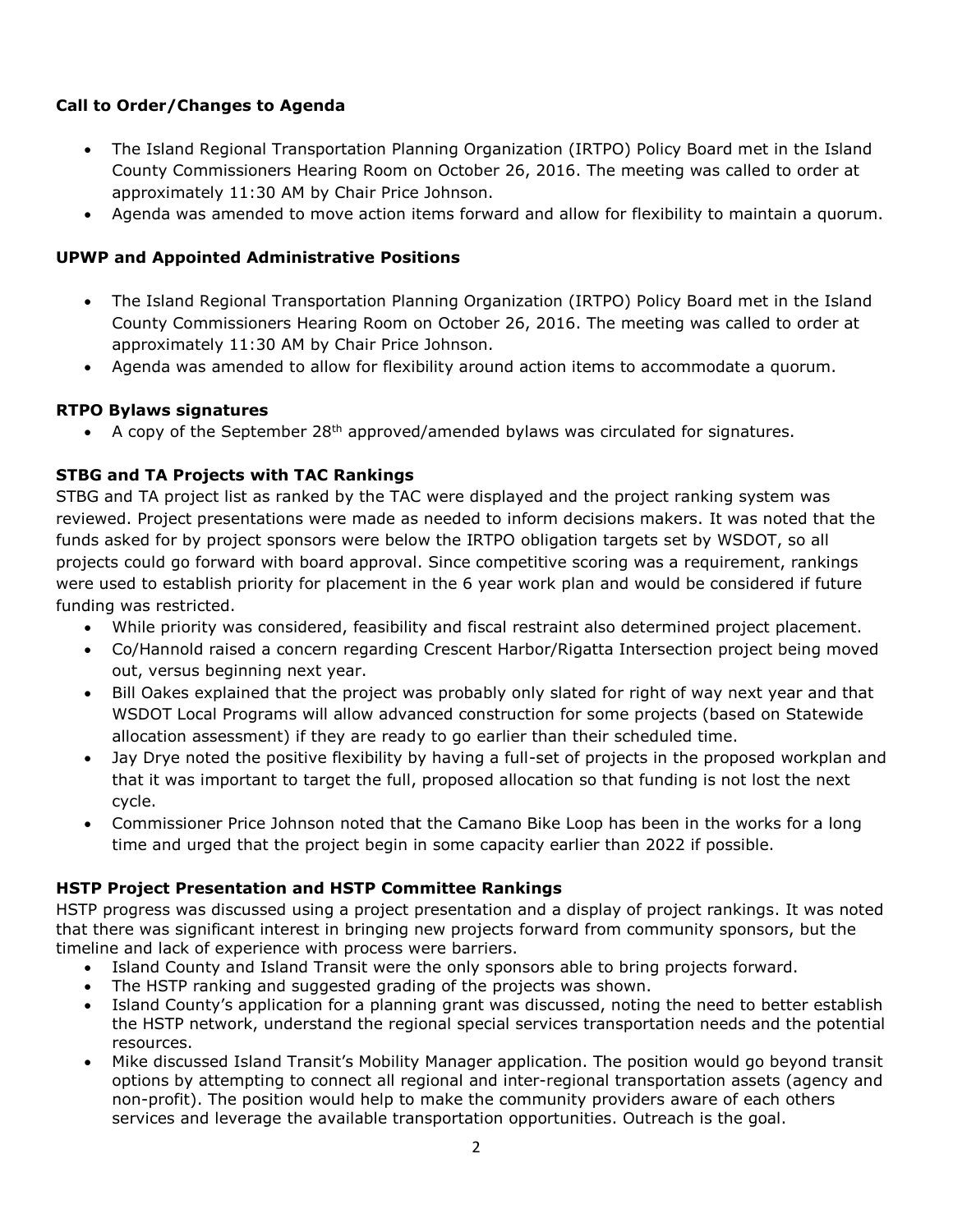# **Call to Order/Changes to Agenda**

- The Island Regional Transportation Planning Organization (IRTPO) Policy Board met in the Island County Commissioners Hearing Room on October 26, 2016. The meeting was called to order at approximately 11:30 AM by Chair Price Johnson.
- Agenda was amended to move action items forward and allow for flexibility to maintain a quorum.

# **UPWP and Appointed Administrative Positions**

- The Island Regional Transportation Planning Organization (IRTPO) Policy Board met in the Island County Commissioners Hearing Room on October 26, 2016. The meeting was called to order at approximately 11:30 AM by Chair Price Johnson.
- Agenda was amended to allow for flexibility around action items to accommodate a quorum.

# **RTPO Bylaws signatures**

A copy of the September  $28<sup>th</sup>$  approved/amended bylaws was circulated for signatures.

# **STBG and TA Projects with TAC Rankings**

STBG and TA project list as ranked by the TAC were displayed and the project ranking system was reviewed. Project presentations were made as needed to inform decisions makers. It was noted that the funds asked for by project sponsors were below the IRTPO obligation targets set by WSDOT, so all projects could go forward with board approval. Since competitive scoring was a requirement, rankings were used to establish priority for placement in the 6 year work plan and would be considered if future funding was restricted.

- While priority was considered, feasibility and fiscal restraint also determined project placement.
- Co/Hannold raised a concern regarding Crescent Harbor/Rigatta Intersection project being moved out, versus beginning next year.
- Bill Oakes explained that the project was probably only slated for right of way next year and that WSDOT Local Programs will allow advanced construction for some projects (based on Statewide allocation assessment) if they are ready to go earlier than their scheduled time.
- Jay Drye noted the positive flexibility by having a full-set of projects in the proposed workplan and that it was important to target the full, proposed allocation so that funding is not lost the next cycle.
- Commissioner Price Johnson noted that the Camano Bike Loop has been in the works for a long time and urged that the project begin in some capacity earlier than 2022 if possible.

## **HSTP Project Presentation and HSTP Committee Rankings**

HSTP progress was discussed using a project presentation and a display of project rankings. It was noted that there was significant interest in bringing new projects forward from community sponsors, but the timeline and lack of experience with process were barriers.

- Island County and Island Transit were the only sponsors able to bring projects forward.
- The HSTP ranking and suggested grading of the projects was shown.
- Island County's application for a planning grant was discussed, noting the need to better establish the HSTP network, understand the regional special services transportation needs and the potential resources.
- Mike discussed Island Transit's Mobility Manager application. The position would go beyond transit options by attempting to connect all regional and inter-regional transportation assets (agency and non-profit). The position would help to make the community providers aware of each others services and leverage the available transportation opportunities. Outreach is the goal.